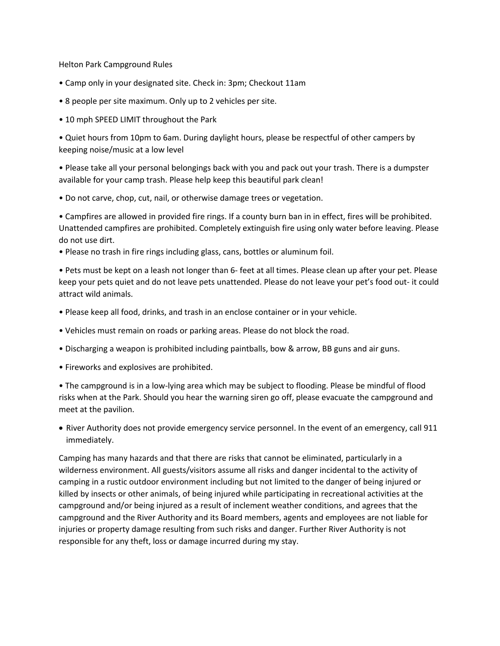Helton Park Campground Rules

- Camp only in your designated site. Check in: 3pm; Checkout 11am
- 8 people per site maximum. Only up to 2 vehicles per site.
- 10 mph SPEED LIMIT throughout the Park

• Quiet hours from 10pm to 6am. During daylight hours, please be respectful of other campers by keeping noise/music at a low level

• Please take all your personal belongings back with you and pack out your trash. There is a dumpster available for your camp trash. Please help keep this beautiful park clean!

• Do not carve, chop, cut, nail, or otherwise damage trees or vegetation.

• Campfires are allowed in provided fire rings. If a county burn ban in in effect, fires will be prohibited. Unattended campfires are prohibited. Completely extinguish fire using only water before leaving. Please do not use dirt.

• Please no trash in fire rings including glass, cans, bottles or aluminum foil.

• Pets must be kept on a leash not longer than 6- feet at all times. Please clean up after your pet. Please keep your pets quiet and do not leave pets unattended. Please do not leave your pet's food out- it could attract wild animals.

- Please keep all food, drinks, and trash in an enclose container or in your vehicle.
- Vehicles must remain on roads or parking areas. Please do not block the road.
- Discharging a weapon is prohibited including paintballs, bow & arrow, BB guns and air guns.
- Fireworks and explosives are prohibited.

• The campground is in a low-lying area which may be subject to flooding. Please be mindful of flood risks when at the Park. Should you hear the warning siren go off, please evacuate the campground and meet at the pavilion.

• River Authority does not provide emergency service personnel. In the event of an emergency, call 911 immediately.

Camping has many hazards and that there are risks that cannot be eliminated, particularly in a wilderness environment. All guests/visitors assume all risks and danger incidental to the activity of camping in a rustic outdoor environment including but not limited to the danger of being injured or killed by insects or other animals, of being injured while participating in recreational activities at the campground and/or being injured as a result of inclement weather conditions, and agrees that the campground and the River Authority and its Board members, agents and employees are not liable for injuries or property damage resulting from such risks and danger. Further River Authority is not responsible for any theft, loss or damage incurred during my stay.